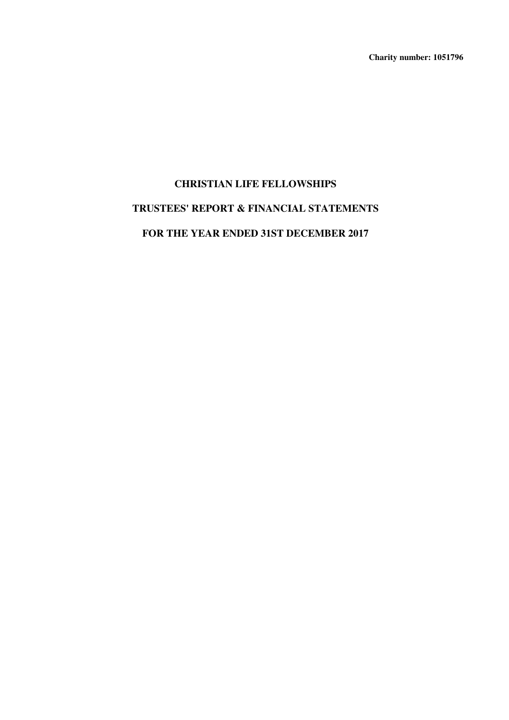**Charity number: 1051796**

# **CHRISTIAN LIFE FELLOWSHIPS TRUSTEES' REPORT & FINANCIAL STATEMENTS FOR THE YEAR ENDED 31ST DECEMBER 2017**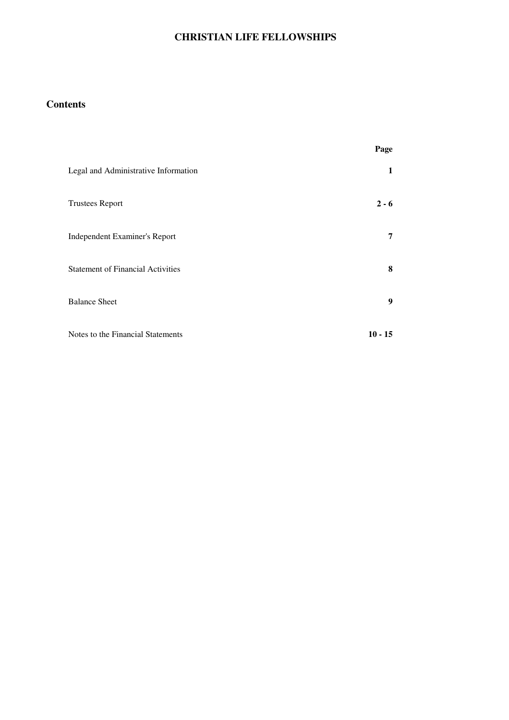# **Contents**

|                                          | Page      |
|------------------------------------------|-----------|
| Legal and Administrative Information     | 1         |
| <b>Trustees Report</b>                   | $2 - 6$   |
| Independent Examiner's Report            | 7         |
| <b>Statement of Financial Activities</b> | 8         |
| <b>Balance Sheet</b>                     | 9         |
| Notes to the Financial Statements        | $10 - 15$ |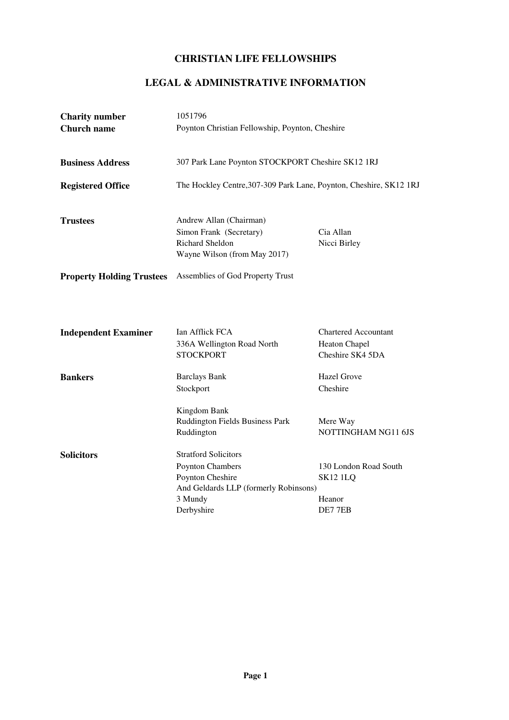# **LEGAL & ADMINISTRATIVE INFORMATION**

| <b>Charity number</b><br><b>Church name</b> | 1051796<br>Poynton Christian Fellowship, Poynton, Cheshire                                                                                                                                                          |                                                                                                             |  |  |  |
|---------------------------------------------|---------------------------------------------------------------------------------------------------------------------------------------------------------------------------------------------------------------------|-------------------------------------------------------------------------------------------------------------|--|--|--|
| <b>Business Address</b>                     | 307 Park Lane Poynton STOCKPORT Cheshire SK12 1RJ                                                                                                                                                                   |                                                                                                             |  |  |  |
| <b>Registered Office</b>                    | The Hockley Centre, 307-309 Park Lane, Poynton, Cheshire, SK12 1RJ                                                                                                                                                  |                                                                                                             |  |  |  |
| <b>Trustees</b>                             | Andrew Allan (Chairman)<br>Cia Allan<br>Simon Frank (Secretary)<br>Richard Sheldon<br>Nicci Birley<br>Wayne Wilson (from May 2017)                                                                                  |                                                                                                             |  |  |  |
| <b>Property Holding Trustees</b>            | Assemblies of God Property Trust                                                                                                                                                                                    |                                                                                                             |  |  |  |
| <b>Independent Examiner</b>                 | Ian Afflick FCA<br>336A Wellington Road North<br><b>STOCKPORT</b>                                                                                                                                                   | <b>Chartered Accountant</b><br>Heaton Chapel<br>Cheshire SK4 5DA                                            |  |  |  |
| <b>Bankers</b>                              | <b>Barclays Bank</b>                                                                                                                                                                                                | Hazel Grove                                                                                                 |  |  |  |
| <b>Solicitors</b>                           | Stockport<br>Kingdom Bank<br>Ruddington Fields Business Park<br>Ruddington<br><b>Stratford Solicitors</b><br>Poynton Chambers<br>Poynton Cheshire<br>And Geldards LLP (formerly Robinsons)<br>3 Mundy<br>Derbyshire | Cheshire<br>Mere Way<br>NOTTINGHAM NG11 6JS<br>130 London Road South<br><b>SK12 1LQ</b><br>Heanor<br>DE77EB |  |  |  |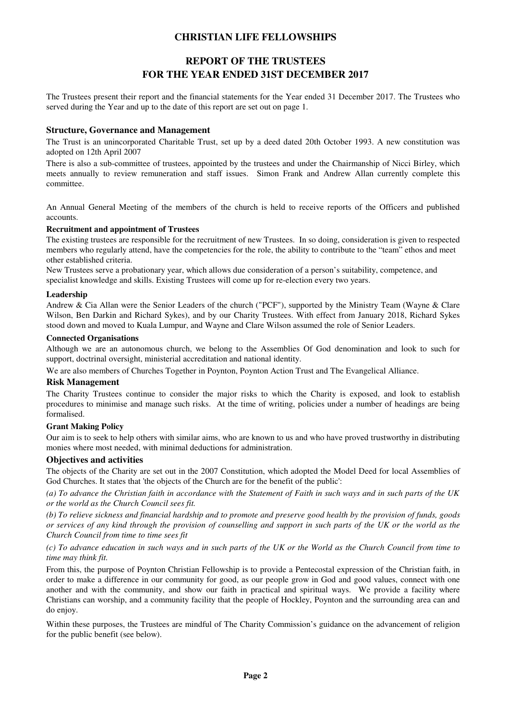# **REPORT OF THE TRUSTEES FOR THE YEAR ENDED 31ST DECEMBER 2017**

The Trustees present their report and the financial statements for the Year ended 31 December 2017. The Trustees who served during the Year and up to the date of this report are set out on page 1.

#### **Structure, Governance and Management**

The Trust is an unincorporated Charitable Trust, set up by a deed dated 20th October 1993. A new constitution was adopted on 12th April 2007

There is also a sub-committee of trustees, appointed by the trustees and under the Chairmanship of Nicci Birley, which meets annually to review remuneration and staff issues. Simon Frank and Andrew Allan currently complete this committee.

An Annual General Meeting of the members of the church is held to receive reports of the Officers and published accounts.

#### **Recruitment and appointment of Trustees**

The existing trustees are responsible for the recruitment of new Trustees. In so doing, consideration is given to respected members who regularly attend, have the competencies for the role, the ability to contribute to the "team" ethos and meet other established criteria.

New Trustees serve a probationary year, which allows due consideration of a person's suitability, competence, and specialist knowledge and skills. Existing Trustees will come up for re-election every two years.

#### **Leadership**

Andrew & Cia Allan were the Senior Leaders of the church ("PCF"), supported by the Ministry Team (Wayne & Clare Wilson, Ben Darkin and Richard Sykes), and by our Charity Trustees. With effect from January 2018, Richard Sykes stood down and moved to Kuala Lumpur, and Wayne and Clare Wilson assumed the role of Senior Leaders.

#### **Connected Organisations**

Although we are an autonomous church, we belong to the Assemblies Of God denomination and look to such for support, doctrinal oversight, ministerial accreditation and national identity.

We are also members of Churches Together in Poynton, Poynton Action Trust and The Evangelical Alliance.

#### **Risk Management**

The Charity Trustees continue to consider the major risks to which the Charity is exposed, and look to establish procedures to minimise and manage such risks. At the time of writing, policies under a number of headings are being formalised.

#### **Grant Making Policy**

Our aim is to seek to help others with similar aims, who are known to us and who have proved trustworthy in distributing monies where most needed, with minimal deductions for administration.

#### **Objectives and activities**

The objects of the Charity are set out in the 2007 Constitution, which adopted the Model Deed for local Assemblies of God Churches. It states that 'the objects of the Church are for the benefit of the public':

*(a) To advance the Christian faith in accordance with the Statement of Faith in such ways and in such parts of the UK or the world as the Church Council sees fit.*

*(b) To relieve sickness and financial hardship and to promote and preserve good health by the provision of funds, goods or services of any kind through the provision of counselling and support in such parts of the UK or the world as the Church Council from time to time sees fit*

*(c) To advance education in such ways and in such parts of the UK or the World as the Church Council from time to time may think fit.*

From this, the purpose of Poynton Christian Fellowship is to provide a Pentecostal expression of the Christian faith, in order to make a difference in our community for good, as our people grow in God and good values, connect with one another and with the community, and show our faith in practical and spiritual ways. We provide a facility where Christians can worship, and a community facility that the people of Hockley, Poynton and the surrounding area can and do enjoy.

Within these purposes, the Trustees are mindful of The Charity Commission's guidance on the advancement of religion for the public benefit (see below).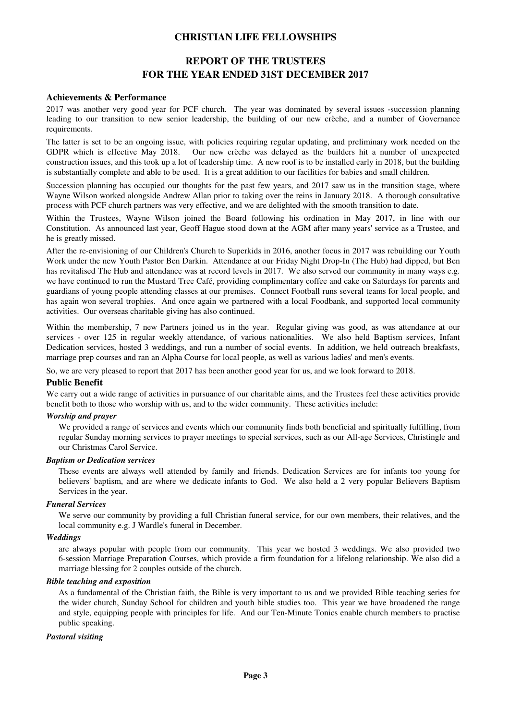# **REPORT OF THE TRUSTEES FOR THE YEAR ENDED 31ST DECEMBER 2017**

#### **Achievements & Performance**

2017 was another very good year for PCF church. The year was dominated by several issues -succession planning leading to our transition to new senior leadership, the building of our new crèche, and a number of Governance requirements.

The latter is set to be an ongoing issue, with policies requiring regular updating, and preliminary work needed on the GDPR which is effective May 2018. Our new crèche was delayed as the builders hit a number of unexpected construction issues, and this took up a lot of leadership time. A new roof is to be installed early in 2018, but the building is substantially complete and able to be used. It is a great addition to our facilities for babies and small children.

Succession planning has occupied our thoughts for the past few years, and 2017 saw us in the transition stage, where Wayne Wilson worked alongside Andrew Allan prior to taking over the reins in January 2018. A thorough consultative process with PCF church partners was very effective, and we are delighted with the smooth transition to date.

Within the Trustees, Wayne Wilson joined the Board following his ordination in May 2017, in line with our Constitution. As announced last year, Geoff Hague stood down at the AGM after many years' service as a Trustee, and he is greatly missed.

After the re-envisioning of our Children's Church to Superkids in 2016, another focus in 2017 was rebuilding our Youth Work under the new Youth Pastor Ben Darkin. Attendance at our Friday Night Drop-In (The Hub) had dipped, but Ben has revitalised The Hub and attendance was at record levels in 2017. We also served our community in many ways e.g. we have continued to run the Mustard Tree Café, providing complimentary coffee and cake on Saturdays for parents and guardians of young people attending classes at our premises. Connect Football runs several teams for local people, and has again won several trophies. And once again we partnered with a local Foodbank, and supported local community activities. Our overseas charitable giving has also continued.

Within the membership, 7 new Partners joined us in the year. Regular giving was good, as was attendance at our services - over 125 in regular weekly attendance, of various nationalities. We also held Baptism services, Infant Dedication services, hosted 3 weddings, and run a number of social events. In addition, we held outreach breakfasts, marriage prep courses and ran an Alpha Course for local people, as well as various ladies' and men's events.

So, we are very pleased to report that 2017 has been another good year for us, and we look forward to 2018.

#### **Public Benefit**

We carry out a wide range of activities in pursuance of our charitable aims, and the Trustees feel these activities provide benefit both to those who worship with us, and to the wider community. These activities include:

#### *Worship and prayer*

We provided a range of services and events which our community finds both beneficial and spiritually fulfilling, from regular Sunday morning services to prayer meetings to special services, such as our All-age Services, Christingle and our Christmas Carol Service.

#### *Baptism or Dedication services*

These events are always well attended by family and friends. Dedication Services are for infants too young for believers' baptism, and are where we dedicate infants to God. We also held a 2 very popular Believers Baptism Services in the year.

#### *Funeral Services*

We serve our community by providing a full Christian funeral service, for our own members, their relatives, and the local community e.g. J Wardle's funeral in December.

#### *Weddings*

are always popular with people from our community. This year we hosted 3 weddings. We also provided two 6-session Marriage Preparation Courses, which provide a firm foundation for a lifelong relationship. We also did a marriage blessing for 2 couples outside of the church.

#### *Bible teaching and exposition*

As a fundamental of the Christian faith, the Bible is very important to us and we provided Bible teaching series for the wider church, Sunday School for children and youth bible studies too. This year we have broadened the range and style, equipping people with principles for life. And our Ten-Minute Tonics enable church members to practise public speaking.

#### *Pastoral visiting*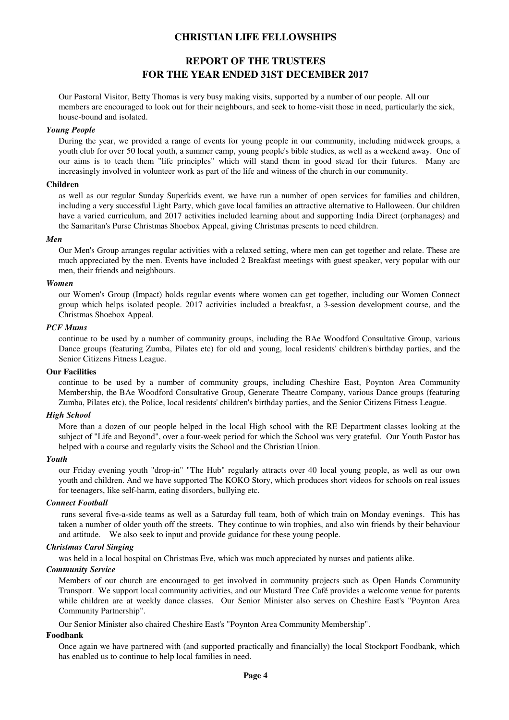# **REPORT OF THE TRUSTEES FOR THE YEAR ENDED 31ST DECEMBER 2017**

Our Pastoral Visitor, Betty Thomas is very busy making visits, supported by a number of our people. All our members are encouraged to look out for their neighbours, and seek to home-visit those in need, particularly the sick, house-bound and isolated.

#### *Young People*

During the year, we provided a range of events for young people in our community, including midweek groups, a youth club for over 50 local youth, a summer camp, young people's bible studies, as well as a weekend away. One of our aims is to teach them "life principles" which will stand them in good stead for their futures. Many are increasingly involved in volunteer work as part of the life and witness of the church in our community.

#### **Children**

as well as our regular Sunday Superkids event, we have run a number of open services for families and children, including a very successful Light Party, which gave local families an attractive alternative to Halloween. Our children have a varied curriculum, and 2017 activities included learning about and supporting India Direct (orphanages) and the Samaritan's Purse Christmas Shoebox Appeal, giving Christmas presents to need children.

#### *Men*

Our Men's Group arranges regular activities with a relaxed setting, where men can get together and relate. These are much appreciated by the men. Events have included 2 Breakfast meetings with guest speaker, very popular with our men, their friends and neighbours.

#### *Women*

our Women's Group (Impact) holds regular events where women can get together, including our Women Connect group which helps isolated people. 2017 activities included a breakfast, a 3-session development course, and the Christmas Shoebox Appeal.

#### *PCF Mums*

continue to be used by a number of community groups, including the BAe Woodford Consultative Group, various Dance groups (featuring Zumba, Pilates etc) for old and young, local residents' children's birthday parties, and the Senior Citizens Fitness League.

#### **Our Facilities**

continue to be used by a number of community groups, including Cheshire East, Poynton Area Community Membership, the BAe Woodford Consultative Group, Generate Theatre Company, various Dance groups (featuring Zumba, Pilates etc), the Police, local residents' children's birthday parties, and the Senior Citizens Fitness League.

#### *High School*

More than a dozen of our people helped in the local High school with the RE Department classes looking at the subject of "Life and Beyond", over a four-week period for which the School was very grateful. Our Youth Pastor has helped with a course and regularly visits the School and the Christian Union.

#### *Youth*

our Friday evening youth "drop-in" "The Hub" regularly attracts over 40 local young people, as well as our own youth and children. And we have supported The KOKO Story, which produces short videos for schools on real issues for teenagers, like self-harm, eating disorders, bullying etc.

#### *Connect Football*

 runs several five-a-side teams as well as a Saturday full team, both of which train on Monday evenings. This has taken a number of older youth off the streets. They continue to win trophies, and also win friends by their behaviour and attitude. We also seek to input and provide guidance for these young people.

#### *Christmas Carol Singing*

was held in a local hospital on Christmas Eve, which was much appreciated by nurses and patients alike.

#### *Community Service*

Members of our church are encouraged to get involved in community projects such as Open Hands Community Transport. We support local community activities, and our Mustard Tree Café provides a welcome venue for parents while children are at weekly dance classes. Our Senior Minister also serves on Cheshire East's "Poynton Area Community Partnership".

Our Senior Minister also chaired Cheshire East's "Poynton Area Community Membership".

#### **Foodbank**

Once again we have partnered with (and supported practically and financially) the local Stockport Foodbank, which has enabled us to continue to help local families in need.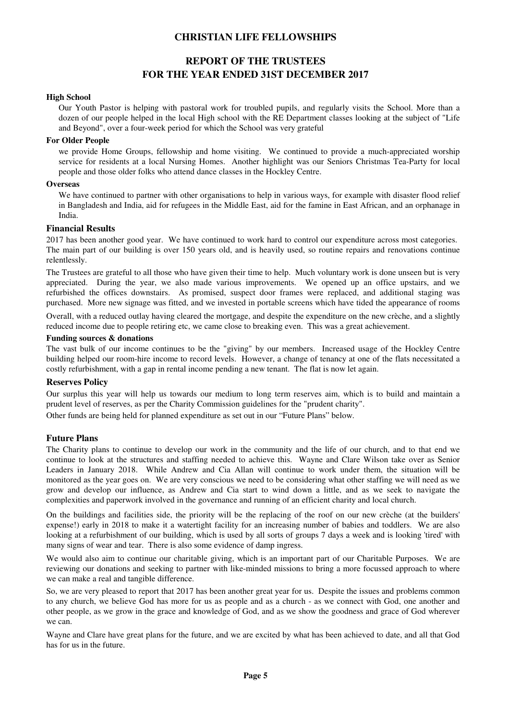# **REPORT OF THE TRUSTEES FOR THE YEAR ENDED 31ST DECEMBER 2017**

#### **High School**

Our Youth Pastor is helping with pastoral work for troubled pupils, and regularly visits the School. More than a dozen of our people helped in the local High school with the RE Department classes looking at the subject of "Life and Beyond", over a four-week period for which the School was very grateful

#### **For Older People**

we provide Home Groups, fellowship and home visiting. We continued to provide a much-appreciated worship service for residents at a local Nursing Homes. Another highlight was our Seniors Christmas Tea-Party for local people and those older folks who attend dance classes in the Hockley Centre.

#### **Overseas**

We have continued to partner with other organisations to help in various ways, for example with disaster flood relief in Bangladesh and India, aid for refugees in the Middle East, aid for the famine in East African, and an orphanage in India.

#### **Financial Results**

2017 has been another good year. We have continued to work hard to control our expenditure across most categories. The main part of our building is over 150 years old, and is heavily used, so routine repairs and renovations continue relentlessly.

The Trustees are grateful to all those who have given their time to help. Much voluntary work is done unseen but is very appreciated. During the year, we also made various improvements. We opened up an office upstairs, and we refurbished the offices downstairs. As promised, suspect door frames were replaced, and additional staging was purchased. More new signage was fitted, and we invested in portable screens which have tided the appearance of rooms

Overall, with a reduced outlay having cleared the mortgage, and despite the expenditure on the new crèche, and a slightly reduced income due to people retiring etc, we came close to breaking even. This was a great achievement.

#### **Funding sources & donations**

The vast bulk of our income continues to be the "giving" by our members. Increased usage of the Hockley Centre building helped our room-hire income to record levels. However, a change of tenancy at one of the flats necessitated a costly refurbishment, with a gap in rental income pending a new tenant. The flat is now let again.

#### **Reserves Policy**

Our surplus this year will help us towards our medium to long term reserves aim, which is to build and maintain a prudent level of reserves, as per the Charity Commission guidelines for the "prudent charity".

Other funds are being held for planned expenditure as set out in our "Future Plans" below.

#### **Future Plans**

The Charity plans to continue to develop our work in the community and the life of our church, and to that end we continue to look at the structures and staffing needed to achieve this. Wayne and Clare Wilson take over as Senior Leaders in January 2018. While Andrew and Cia Allan will continue to work under them, the situation will be monitored as the year goes on. We are very conscious we need to be considering what other staffing we will need as we grow and develop our influence, as Andrew and Cia start to wind down a little, and as we seek to navigate the complexities and paperwork involved in the governance and running of an efficient charity and local church.

On the buildings and facilities side, the priority will be the replacing of the roof on our new crèche (at the builders' expense!) early in 2018 to make it a watertight facility for an increasing number of babies and toddlers. We are also looking at a refurbishment of our building, which is used by all sorts of groups 7 days a week and is looking 'tired' with many signs of wear and tear. There is also some evidence of damp ingress.

We would also aim to continue our charitable giving, which is an important part of our Charitable Purposes. We are reviewing our donations and seeking to partner with like-minded missions to bring a more focussed approach to where we can make a real and tangible difference.

So, we are very pleased to report that 2017 has been another great year for us. Despite the issues and problems common to any church, we believe God has more for us as people and as a church - as we connect with God, one another and other people, as we grow in the grace and knowledge of God, and as we show the goodness and grace of God wherever we can.

Wayne and Clare have great plans for the future, and we are excited by what has been achieved to date, and all that God has for us in the future.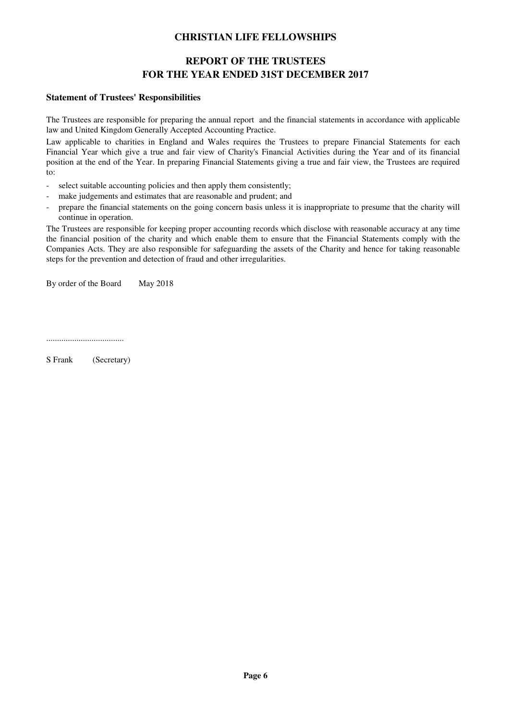# **REPORT OF THE TRUSTEES FOR THE YEAR ENDED 31ST DECEMBER 2017**

#### **Statement of Trustees' Responsibilities**

The Trustees are responsible for preparing the annual report and the financial statements in accordance with applicable law and United Kingdom Generally Accepted Accounting Practice.

Law applicable to charities in England and Wales requires the Trustees to prepare Financial Statements for each Financial Year which give a true and fair view of Charity's Financial Activities during the Year and of its financial position at the end of the Year. In preparing Financial Statements giving a true and fair view, the Trustees are required to:

- select suitable accounting policies and then apply them consistently;
- make judgements and estimates that are reasonable and prudent; and
- prepare the financial statements on the going concern basis unless it is inappropriate to presume that the charity will continue in operation.

The Trustees are responsible for keeping proper accounting records which disclose with reasonable accuracy at any time the financial position of the charity and which enable them to ensure that the Financial Statements comply with the Companies Acts. They are also responsible for safeguarding the assets of the Charity and hence for taking reasonable steps for the prevention and detection of fraud and other irregularities.

By order of the Board May 2018

....................................

S Frank (Secretary)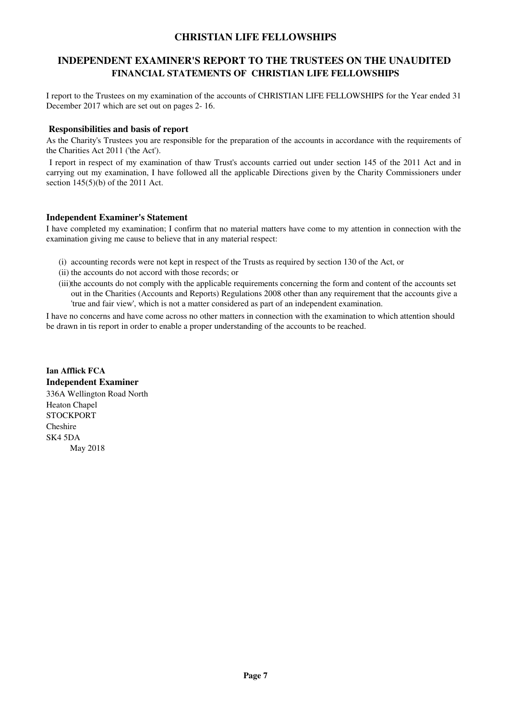### **INDEPENDENT EXAMINER'S REPORT TO THE TRUSTEES ON THE UNAUDITED FINANCIAL STATEMENTS OF CHRISTIAN LIFE FELLOWSHIPS**

I report to the Trustees on my examination of the accounts of CHRISTIAN LIFE FELLOWSHIPS for the Year ended 31 December 2017 which are set out on pages 2- 16.

#### **Responsibilities and basis of report**

As the Charity's Trustees you are responsible for the preparation of the accounts in accordance with the requirements of the Charities Act 2011 ('the Act').

 I report in respect of my examination of thaw Trust's accounts carried out under section 145 of the 2011 Act and in carrying out my examination, I have followed all the applicable Directions given by the Charity Commissioners under section 145(5)(b) of the 2011 Act.

#### **Independent Examiner's Statement**

I have completed my examination; I confirm that no material matters have come to my attention in connection with the examination giving me cause to believe that in any material respect:

- (i) accounting records were not kept in respect of the Trusts as required by section 130 of the Act, or
- (ii) the accounts do not accord with those records; or
- (iii)the accounts do not comply with the applicable requirements concerning the form and content of the accounts set out in the Charities (Accounts and Reports) Regulations 2008 other than any requirement that the accounts give a 'true and fair view', which is not a matter considered as part of an independent examination.

I have no concerns and have come across no other matters in connection with the examination to which attention should be drawn in tis report in order to enable a proper understanding of the accounts to be reached.

**Ian Afflick FCA Independent Examiner** 336A Wellington Road North Heaton Chapel **STOCKPORT** Cheshire SK4 5DA May 2018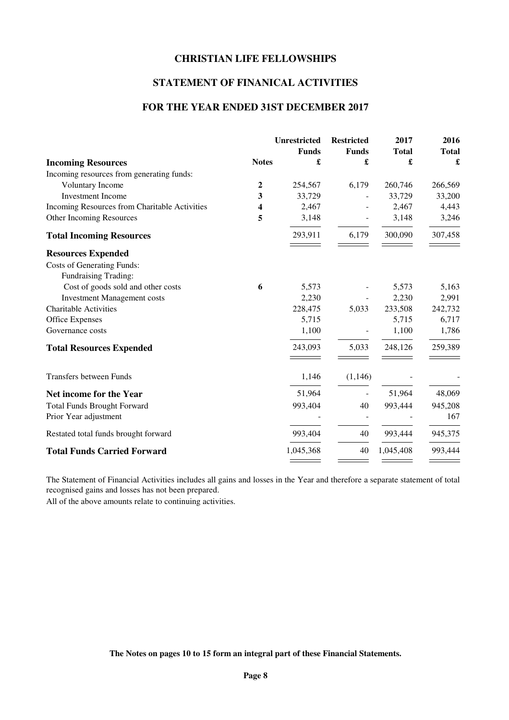# **STATEMENT OF FINANICAL ACTIVITIES**

### **FOR THE YEAR ENDED 31ST DECEMBER 2017**

|                                               |                | <b>Unrestricted</b> | <b>Restricted</b> | 2017         | 2016         |
|-----------------------------------------------|----------------|---------------------|-------------------|--------------|--------------|
|                                               |                | <b>Funds</b>        | <b>Funds</b>      | <b>Total</b> | <b>Total</b> |
| <b>Incoming Resources</b>                     | <b>Notes</b>   | £                   | £                 | £            | £            |
| Incoming resources from generating funds:     |                |                     |                   |              |              |
| Voluntary Income                              | $\overline{2}$ | 254,567             | 6,179             | 260,746      | 266,569      |
| <b>Investment Income</b>                      | 3              | 33,729              |                   | 33,729       | 33,200       |
| Incoming Resources from Charitable Activities | 4              | 2,467               |                   | 2,467        | 4,443        |
| Other Incoming Resources                      | 5              | 3,148               |                   | 3,148        | 3,246        |
| <b>Total Incoming Resources</b>               |                | 293,911             | 6,179             | 300,090      | 307,458      |
| <b>Resources Expended</b>                     |                |                     |                   |              |              |
| <b>Costs of Generating Funds:</b>             |                |                     |                   |              |              |
| Fundraising Trading:                          |                |                     |                   |              |              |
| Cost of goods sold and other costs            | 6              | 5,573               |                   | 5,573        | 5,163        |
| <b>Investment Management costs</b>            |                | 2,230               |                   | 2,230        | 2,991        |
| <b>Charitable Activities</b>                  |                | 228,475             | 5,033             | 233,508      | 242,732      |
| <b>Office Expenses</b>                        |                | 5,715               |                   | 5,715        | 6,717        |
| Governance costs                              |                | 1,100               |                   | 1,100        | 1,786        |
| <b>Total Resources Expended</b>               |                | 243,093             | 5,033             | 248,126      | 259,389      |
| <b>Transfers between Funds</b>                |                | 1,146               | (1,146)           |              |              |
| Net income for the Year                       |                | 51,964              |                   | 51,964       | 48,069       |
| <b>Total Funds Brought Forward</b>            |                | 993,404             | 40                | 993,444      | 945,208      |
| Prior Year adjustment                         |                |                     |                   |              | 167          |
| Restated total funds brought forward          |                | 993,404             | 40                | 993,444      | 945,375      |
| <b>Total Funds Carried Forward</b>            |                | 1,045,368           | 40                | 1,045,408    | 993,444      |
|                                               |                |                     |                   |              |              |

The Statement of Financial Activities includes all gains and losses in the Year and therefore a separate statement of total recognised gains and losses has not been prepared.

All of the above amounts relate to continuing activities.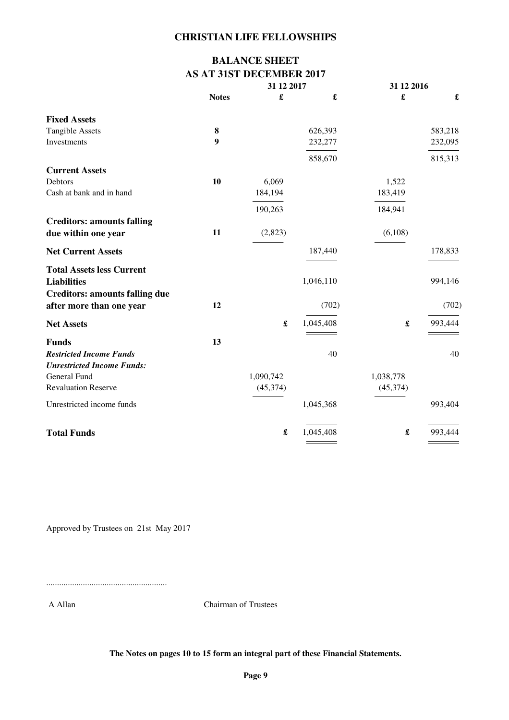# **BALANCE SHEET AS AT 31ST DECEMBER 2017**

|                                       |              | 31 12 2017           |                      | 31 12 2016           |         |  |
|---------------------------------------|--------------|----------------------|----------------------|----------------------|---------|--|
|                                       | <b>Notes</b> | £                    | $\pmb{\mathfrak{L}}$ | £                    | £       |  |
| <b>Fixed Assets</b>                   |              |                      |                      |                      |         |  |
| <b>Tangible Assets</b>                | 8            |                      | 626,393              |                      | 583,218 |  |
| Investments                           | 9            |                      | 232,277              |                      | 232,095 |  |
|                                       |              |                      | 858,670              |                      | 815,313 |  |
| <b>Current Assets</b>                 |              |                      |                      |                      |         |  |
| Debtors                               | 10           | 6,069                |                      | 1,522                |         |  |
| Cash at bank and in hand              |              | 184,194              |                      | 183,419              |         |  |
|                                       |              | 190,263              |                      | 184,941              |         |  |
| <b>Creditors: amounts falling</b>     |              |                      |                      |                      |         |  |
| due within one year                   | 11           | (2,823)              |                      | (6,108)              |         |  |
| <b>Net Current Assets</b>             |              |                      | 187,440              |                      | 178,833 |  |
| <b>Total Assets less Current</b>      |              |                      |                      |                      |         |  |
| <b>Liabilities</b>                    |              |                      | 1,046,110            |                      | 994,146 |  |
| <b>Creditors: amounts falling due</b> |              |                      |                      |                      |         |  |
| after more than one year              | 12           |                      | (702)                |                      | (702)   |  |
| <b>Net Assets</b>                     |              | £                    | 1,045,408            | $\pmb{\mathfrak{L}}$ | 993,444 |  |
| <b>Funds</b>                          | 13           |                      |                      |                      |         |  |
| <b>Restricted Income Funds</b>        |              |                      | 40                   |                      | 40      |  |
| <b>Unrestricted Income Funds:</b>     |              |                      |                      |                      |         |  |
| General Fund                          |              | 1,090,742            |                      | 1,038,778            |         |  |
| <b>Revaluation Reserve</b>            |              | (45, 374)            |                      | (45, 374)            |         |  |
| Unrestricted income funds             |              |                      | 1,045,368            |                      | 993,404 |  |
| <b>Total Funds</b>                    |              | $\pmb{\mathfrak{L}}$ | 1,045,408            | £                    | 993,444 |  |
|                                       |              |                      |                      |                      |         |  |

Approved by Trustees on 21st May 2017

........................................................

A Allan Chairman of Trustees

**The Notes on pages 10 to 15 form an integral part of these Financial Statements.**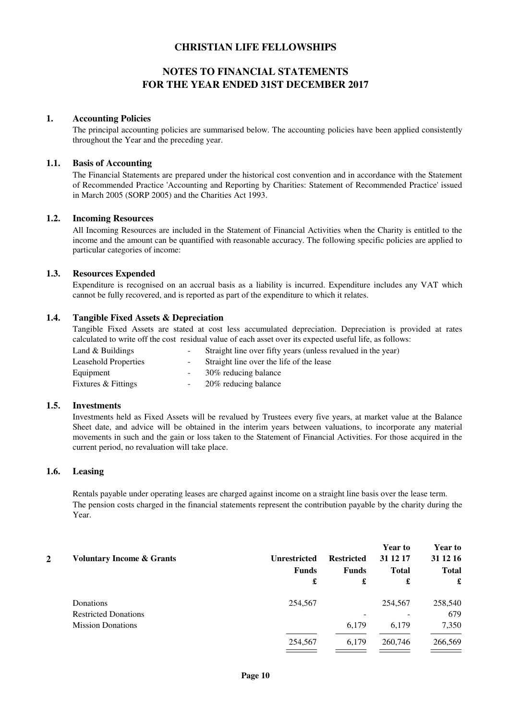# **NOTES TO FINANCIAL STATEMENTS FOR THE YEAR ENDED 31ST DECEMBER 2017**

#### **1. Accounting Policies**

The principal accounting policies are summarised below. The accounting policies have been applied consistently throughout the Year and the preceding year.

#### **1.1. Basis of Accounting**

The Financial Statements are prepared under the historical cost convention and in accordance with the Statement of Recommended Practice 'Accounting and Reporting by Charities: Statement of Recommended Practice' issued in March 2005 (SORP 2005) and the Charities Act 1993.

#### **1.2. Incoming Resources**

All Incoming Resources are included in the Statement of Financial Activities when the Charity is entitled to the income and the amount can be quantified with reasonable accuracy. The following specific policies are applied to particular categories of income:

#### **1.3. Resources Expended**

Expenditure is recognised on an accrual basis as a liability is incurred. Expenditure includes any VAT which cannot be fully recovered, and is reported as part of the expenditure to which it relates.

#### **1.4. Tangible Fixed Assets & Depreciation**

Tangible Fixed Assets are stated at cost less accumulated depreciation. Depreciation is provided at rates calculated to write off the cost residual value of each asset over its expected useful life, as follows:

| Land $&$ Buildings          | $\sim$ 100 $\mu$ | Straight line over fifty years (unless revalued in the year) |
|-----------------------------|------------------|--------------------------------------------------------------|
| <b>Leasehold Properties</b> | $\sim 100$       | Straight line over the life of the lease                     |
| Equipment                   | $\sim$           | 30% reducing balance                                         |
| Fixtures & Fittings         |                  | 20% reducing balance                                         |

#### **1.5. Investments**

Investments held as Fixed Assets will be revalued by Trustees every five years, at market value at the Balance Sheet date, and advice will be obtained in the interim years between valuations, to incorporate any material movements in such and the gain or loss taken to the Statement of Financial Activities. For those acquired in the current period, no revaluation will take place.

#### **1.6. Leasing**

Rentals payable under operating leases are charged against income on a straight line basis over the lease term. The pension costs charged in the financial statements represent the contribution payable by the charity during the Year.

| 2 | <b>Voluntary Income &amp; Grants</b> | <b>Unrestricted</b> | <b>Restricted</b> | <b>Year to</b><br>31 12 17 | <b>Year to</b><br>31 12 16 |
|---|--------------------------------------|---------------------|-------------------|----------------------------|----------------------------|
|   |                                      | <b>Funds</b>        | <b>Funds</b>      | <b>Total</b>               | <b>Total</b>               |
|   |                                      | £                   | £                 | £                          | £                          |
|   | Donations                            | 254.567             |                   | 254,567                    | 258,540                    |
|   | <b>Restricted Donations</b>          |                     |                   |                            | 679                        |
|   | <b>Mission Donations</b>             |                     | 6,179             | 6,179                      | 7,350                      |
|   |                                      | 254,567             | 6,179             | 260,746                    | 266,569                    |
|   |                                      |                     |                   |                            |                            |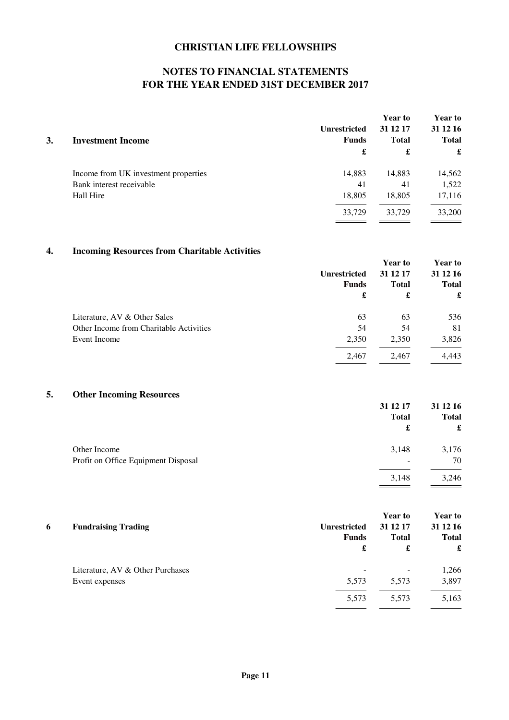# **NOTES TO FINANCIAL STATEMENTS FOR THE YEAR ENDED 31ST DECEMBER 2017**

|    |                                      | <b>Unrestricted</b> | <b>Year to</b><br>31 12 17 | <b>Year to</b><br>31 12 16 |  |
|----|--------------------------------------|---------------------|----------------------------|----------------------------|--|
| 3. | <b>Investment Income</b>             | <b>Funds</b>        | <b>Total</b>               | <b>Total</b>               |  |
|    |                                      | £                   | £                          | £                          |  |
|    | Income from UK investment properties | 14,883              | 14,883                     | 14,562                     |  |
|    | Bank interest receivable             | 41                  | 41                         | 1,522                      |  |
|    | Hall Hire                            | 18,805              | 18,805                     | 17,116                     |  |
|    |                                      | 33,729              | 33,729                     | 33,200                     |  |
|    |                                      |                     |                            |                            |  |

# **4. Incoming Resources from Charitable Activities**

|                                         |                     | <b>Year to</b> | <b>Year to</b> |
|-----------------------------------------|---------------------|----------------|----------------|
|                                         | <b>Unrestricted</b> | 31 12 17       | 31 12 16       |
|                                         | <b>Funds</b>        | <b>Total</b>   | <b>Total</b>   |
|                                         | £                   | £              | £              |
| Literature, AV & Other Sales            | 63                  | 63             | 536            |
| Other Income from Charitable Activities | 54                  | 54             | 81             |
| Event Income                            | 2,350               | 2,350          | 3,826          |
|                                         | 2,467               | 2,467          | 4,443          |
|                                         |                     |                |                |

# **5. Other Incoming Resources**

|                                     | 31 12 17                 | 31 12 16     |
|-------------------------------------|--------------------------|--------------|
|                                     | <b>Total</b>             | <b>Total</b> |
|                                     | £                        | £            |
| Other Income                        | 3,148                    | 3,176        |
| Profit on Office Equipment Disposal | $\overline{\phantom{0}}$ | 70           |
|                                     | 3,148                    | 3,246        |

|   |                                  |                     | <b>Year to</b> | <b>Year to</b> |
|---|----------------------------------|---------------------|----------------|----------------|
| 6 | <b>Fundraising Trading</b>       | <b>Unrestricted</b> | 31 12 17       | 31 12 16       |
|   |                                  | Funds               | <b>Total</b>   | <b>Total</b>   |
|   |                                  | £                   | £              | £              |
|   | Literature, AV & Other Purchases |                     | ۰              | 1,266          |
|   | Event expenses                   | 5,573               | 5,573          | 3,897          |
|   |                                  | 5,573               | 5,573          | 5,163          |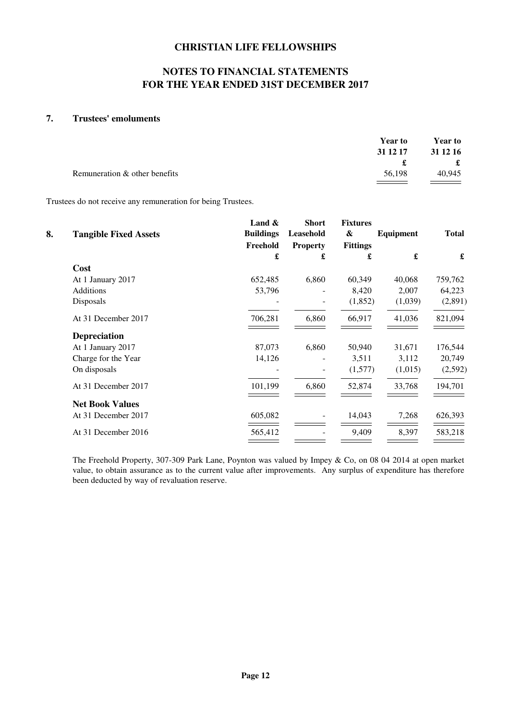# **NOTES TO FINANCIAL STATEMENTS FOR THE YEAR ENDED 31ST DECEMBER 2017**

### **7. Trustees' emoluments**

|                               | <b>Year to</b> | <b>Year to</b> |
|-------------------------------|----------------|----------------|
|                               | 31 12 17       | 31 12 16       |
|                               |                | £              |
| Remuneration & other benefits | 56,198         | 40.945         |
|                               |                |                |

Trustees do not receive any remuneration for being Trustees.

|    |                              | Land $\&$        | <b>Short</b>    | <b>Fixtures</b>   |           |              |
|----|------------------------------|------------------|-----------------|-------------------|-----------|--------------|
| 8. | <b>Tangible Fixed Assets</b> | <b>Buildings</b> | Leasehold       | $\boldsymbol{\&}$ | Equipment | <b>Total</b> |
|    |                              | Freehold         | <b>Property</b> | <b>Fittings</b>   |           |              |
|    |                              | £                | £               | £                 | £         | £            |
|    | Cost                         |                  |                 |                   |           |              |
|    | At 1 January 2017            | 652,485          | 6,860           | 60,349            | 40,068    | 759,762      |
|    | <b>Additions</b>             | 53,796           |                 | 8,420             | 2,007     | 64,223       |
|    | Disposals                    |                  |                 | (1,852)           | (1,039)   | (2,891)      |
|    | At 31 December 2017          | 706,281          | 6,860           | 66,917            | 41,036    | 821,094      |
|    | <b>Depreciation</b>          |                  |                 |                   |           |              |
|    | At 1 January 2017            | 87,073           | 6,860           | 50,940            | 31,671    | 176,544      |
|    | Charge for the Year          | 14,126           |                 | 3,511             | 3,112     | 20,749       |
|    | On disposals                 |                  |                 | (1,577)           | (1,015)   | (2, 592)     |
|    | At 31 December 2017          | 101,199          | 6,860           | 52,874            | 33,768    | 194,701      |
|    | <b>Net Book Values</b>       |                  |                 |                   |           |              |
|    | At 31 December 2017          | 605,082          |                 | 14,043            | 7,268     | 626,393      |
|    | At 31 December 2016          | 565,412          |                 | 9,409             | 8,397     | 583,218      |
|    |                              |                  |                 |                   |           |              |

The Freehold Property, 307-309 Park Lane, Poynton was valued by Impey & Co, on 08 04 2014 at open market value, to obtain assurance as to the current value after improvements. Any surplus of expenditure has therefore been deducted by way of revaluation reserve.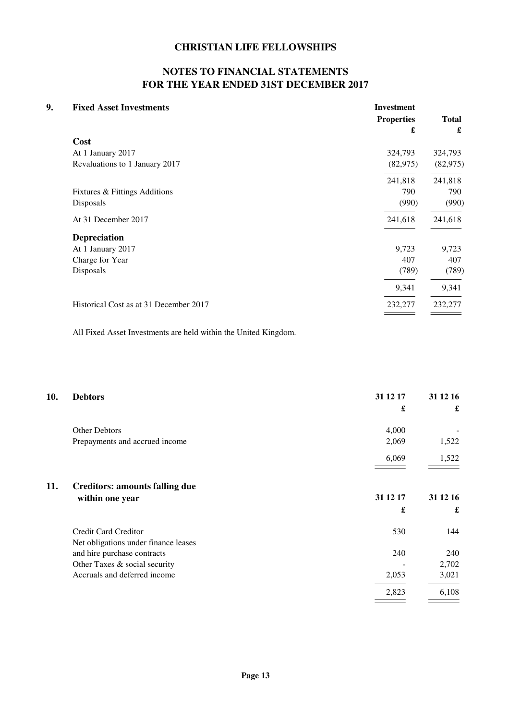# **NOTES TO FINANCIAL STATEMENTS FOR THE YEAR ENDED 31ST DECEMBER 2017**

| 9. | <b>Fixed Asset Investments</b>         | <b>Investment</b><br><b>Properties</b><br>£ | <b>Total</b><br>£ |
|----|----------------------------------------|---------------------------------------------|-------------------|
|    | Cost                                   |                                             |                   |
|    | At 1 January 2017                      | 324,793                                     | 324,793           |
|    | Revaluations to 1 January 2017         | (82, 975)                                   | (82, 975)         |
|    |                                        | 241,818                                     | 241,818           |
|    | Fixtures & Fittings Additions          | 790                                         | 790               |
|    | Disposals                              | (990)                                       | (990)             |
|    | At 31 December 2017                    | 241,618                                     | 241,618           |
|    | <b>Depreciation</b>                    |                                             |                   |
|    | At 1 January 2017                      | 9,723                                       | 9,723             |
|    | Charge for Year                        | 407                                         | 407               |
|    | Disposals                              | (789)                                       | (789)             |
|    |                                        | 9,341                                       | 9,341             |
|    | Historical Cost as at 31 December 2017 | 232,277                                     | 232,277           |
|    |                                        |                                             |                   |

All Fixed Asset Investments are held within the United Kingdom.

| 10. | <b>Debtors</b>                        | 31 12 17 | 31 12 16 |
|-----|---------------------------------------|----------|----------|
|     |                                       | £        | £        |
|     | Other Debtors                         | 4,000    |          |
|     | Prepayments and accrued income        | 2,069    | 1,522    |
|     |                                       | 6,069    | 1,522    |
| 11. | <b>Creditors: amounts falling due</b> |          |          |
|     | within one year                       | 31 12 17 | 31 12 16 |
|     |                                       | £        | £        |
|     | Credit Card Creditor                  | 530      | 144      |
|     | Net obligations under finance leases  |          |          |
|     | and hire purchase contracts           | 240      | 240      |
|     | Other Taxes & social security         |          | 2,702    |
|     | Accruals and deferred income          | 2,053    | 3,021    |
|     |                                       | 2,823    | 6,108    |
|     |                                       |          |          |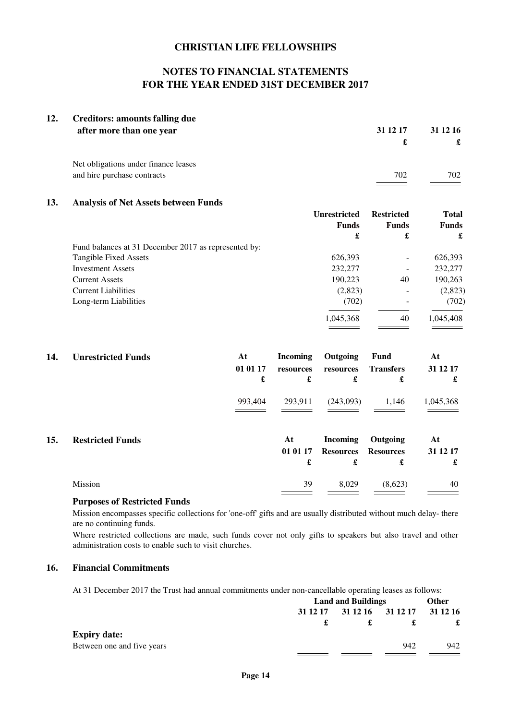# **NOTES TO FINANCIAL STATEMENTS FOR THE YEAR ENDED 31ST DECEMBER 2017**

| 12. | <b>Creditors: amounts falling due</b><br>after more than one year | 31 12 17 | 31 12 16 |
|-----|-------------------------------------------------------------------|----------|----------|
|     |                                                                   | £        |          |
|     | Net obligations under finance leases                              |          |          |
|     | and hire purchase contracts                                       | 702      | 702      |

#### **13. Analysis of Net Assets between Funds**

|                                                      | <b>Unrestricted</b> | <b>Restricted</b> | Total<br><b>Funds</b> |  |
|------------------------------------------------------|---------------------|-------------------|-----------------------|--|
|                                                      | <b>Funds</b>        | <b>Funds</b>      |                       |  |
|                                                      | £                   | £                 | £                     |  |
| Fund balances at 31 December 2017 as represented by: |                     |                   |                       |  |
| <b>Tangible Fixed Assets</b>                         | 626,393             |                   | 626,393               |  |
| <b>Investment Assets</b>                             | 232,277             |                   | 232,277               |  |
| <b>Current Assets</b>                                | 190,223             | 40                | 190,263               |  |
| <b>Current Liabilities</b>                           | (2,823)             |                   | (2,823)               |  |
| Long-term Liabilities                                | (702)               |                   | (702)                 |  |
|                                                      | 1,045,368           | 40                | 1,045,408             |  |
|                                                      |                     |                   |                       |  |

| 14. | <b>Unrestricted Funds</b> | At<br>01 01 17<br>£ | <b>Incoming</b><br>resources<br>£ | Outgoing<br>resources<br>£               | Fund<br><b>Transfers</b><br>£     | At<br>31 12 17<br>£ |
|-----|---------------------------|---------------------|-----------------------------------|------------------------------------------|-----------------------------------|---------------------|
|     |                           | 993,404             | 293,911                           | (243,093)                                | 1,146                             | 1,045,368           |
| 15. | <b>Restricted Funds</b>   |                     | At<br>01 01 17<br>£               | <b>Incoming</b><br><b>Resources</b><br>£ | Outgoing<br><b>Resources</b><br>£ | At<br>31 12 17<br>£ |
|     | Mission                   |                     | 39                                | 8,029                                    | (8,623)                           | 40                  |

### **Purposes of Restricted Funds**

Mission encompasses specific collections for 'one-off' gifts and are usually distributed without much delay- there are no continuing funds.

Where restricted collections are made, such funds cover not only gifts to speakers but also travel and other administration costs to enable such to visit churches.

### **16. Financial Commitments**

At 31 December 2017 the Trust had annual commitments under non-cancellable operating leases as follows:

|                            | <b>Land and Buildings</b> |  |                            | Other |
|----------------------------|---------------------------|--|----------------------------|-------|
|                            | 31 12 17                  |  | 31 12 16 31 12 17 31 12 16 | £     |
|                            |                           |  |                            |       |
| <b>Expiry date:</b>        |                           |  |                            |       |
| Between one and five years |                           |  | 942                        | 942   |
|                            |                           |  |                            |       |